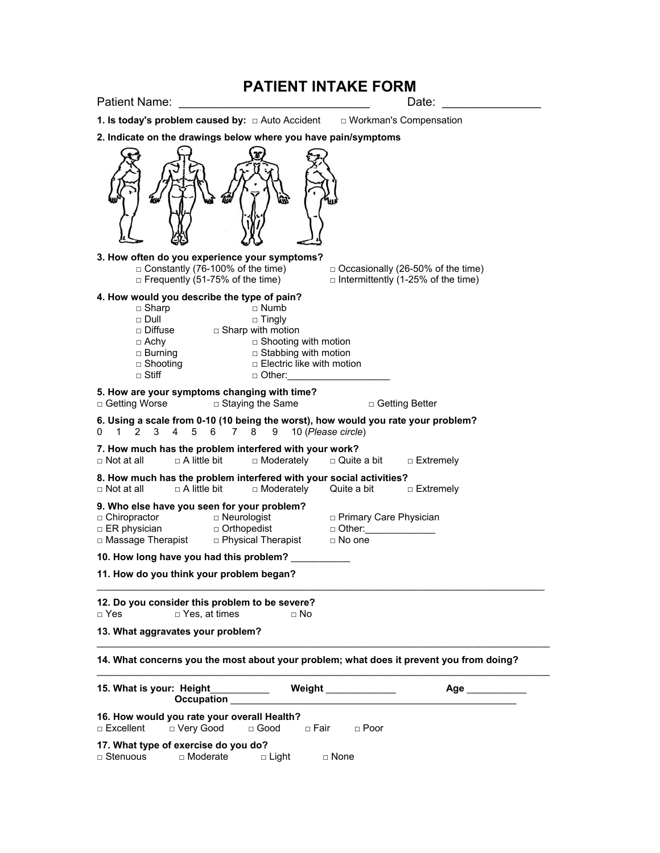## **PATIENT INTAKE FORM**

| Patient Name:                                                                                                                                                                                                            | Date:                                                                                                             |
|--------------------------------------------------------------------------------------------------------------------------------------------------------------------------------------------------------------------------|-------------------------------------------------------------------------------------------------------------------|
| 1. Is today's problem caused by: $\Box$ Auto Accident $\Box$ Workman's Compensation                                                                                                                                      |                                                                                                                   |
| 2. Indicate on the drawings below where you have pain/symptoms                                                                                                                                                           |                                                                                                                   |
|                                                                                                                                                                                                                          |                                                                                                                   |
| 3. How often do you experience your symptoms?<br>$\Box$ Constantly (76-100% of the time)<br>$\Box$ Frequently (51-75% of the time)                                                                                       | $\Box$ Occasionally (26-50% of the time)<br>$\Box$ Intermittently (1-25% of the time)                             |
| 4. How would you describe the type of pain?<br>$\Box$ Sharp<br>$\Box$ Numb<br>$\Box$ Dull<br>$\Box$ Tingly<br>Diffuse <b>Diffuse Diffuse Diffuse</b><br>$\Box$ Achy<br>$\Box$ Burning<br>$\Box$ Shooting<br>$\Box$ Stiff | $\Box$ Shooting with motion<br>$\Box$ Stabbing with motion<br><b>D</b> Electric like with motion<br>$\Box$ Other: |
| 5. How are your symptoms changing with time?<br>□ Getting Worse<br>$\Box$ Staying the Same                                                                                                                               | □ Getting Better                                                                                                  |
| 6. Using a scale from 0-10 (10 being the worst), how would you rate your problem?<br>$\overline{2}$<br>3<br>4<br>8<br>0<br>$\mathbf 1$<br>5<br>6<br>7<br>9                                                               | 10 (Please circle)                                                                                                |
| 7. How much has the problem interfered with your work?<br>□ Moderately<br>$\Box$ Not at all<br>$\Box$ A little bit                                                                                                       | $\square$ Quite a bit<br>□ Extremely                                                                              |
| 8. How much has the problem interfered with your social activities?<br>$\Box$ A little bit<br>$\Box$ Not at all<br>□ Moderately                                                                                          | Quite a bit $\Box$ Extremely                                                                                      |
| 9. Who else have you seen for your problem?<br>□ Chiropractor<br>D Neurologist<br>$\Box$ Orthopedist<br>$\Box$ ER physician<br>□ Massage Therapist □ Physical Therapist                                                  | □ Primary Care Physician<br>$\Box$ Other:<br>$\Box$ No one                                                        |
| 10. How long have you had this problem?                                                                                                                                                                                  |                                                                                                                   |
| 11. How do you think your problem began?                                                                                                                                                                                 |                                                                                                                   |
| 12. Do you consider this problem to be severe?<br>$\Box$ Yes<br>$\Box$ Yes, at times                                                                                                                                     | □ No                                                                                                              |
| 13. What aggravates your problem?                                                                                                                                                                                        |                                                                                                                   |
|                                                                                                                                                                                                                          | 14. What concerns you the most about your problem; what does it prevent you from doing?                           |
| 15. What is your: Height<br><b>Occupation</b>                                                                                                                                                                            | Weight<br>Age                                                                                                     |
| 16. How would you rate your overall Health?<br>□ Very Good<br>$\Box$ Excellent<br>$\Box$ Good                                                                                                                            | □ Fair<br>$\Box$ Poor                                                                                             |
| 17. What type of exercise do you do?<br>□ Stenuous<br>□ Moderate<br>$\square$ Light                                                                                                                                      | □ None                                                                                                            |
|                                                                                                                                                                                                                          |                                                                                                                   |